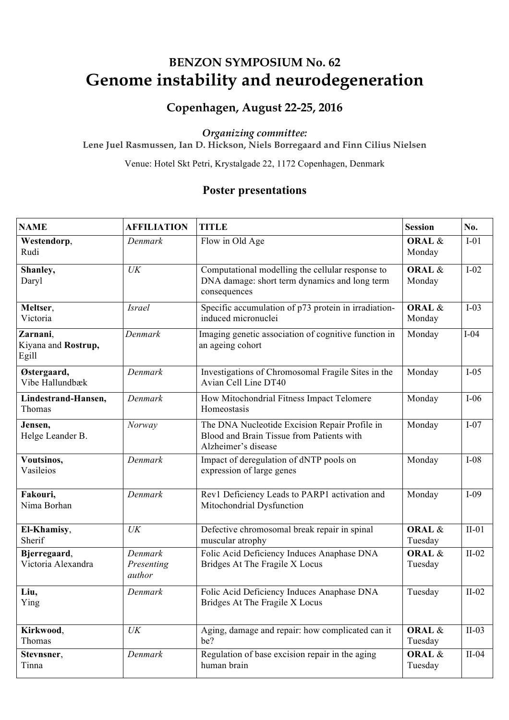## **Copenhagen, August 22-25, 2016**

#### *Organizing committee:*

**Lene Juel Rasmussen, Ian D. Hickson, Niels Borregaard and Finn Cilius Nielsen** 

Venue: Hotel Skt Petri, Krystalgade 22, 1172 Copenhagen, Denmark

| <b>NAME</b>                              | <b>AFFILIATION</b>              | <b>TITLE</b>                                                                                                      | <b>Session</b>               | No.     |
|------------------------------------------|---------------------------------|-------------------------------------------------------------------------------------------------------------------|------------------------------|---------|
| Westendorp,<br>Rudi                      | Denmark                         | Flow in Old Age                                                                                                   | ORAL &<br>Monday             | $I-01$  |
| Shanley,<br>Daryl                        | UK                              | Computational modelling the cellular response to<br>DNA damage: short term dynamics and long term<br>consequences | ORAL &<br>Monday             | $I-02$  |
| Meltser,<br>Victoria                     | <b>Israel</b>                   | Specific accumulation of p73 protein in irradiation-<br>induced micronuclei                                       | ORAL &<br>Monday             | $I-03$  |
| Zarnani,<br>Kiyana and Rostrup,<br>Egill | Denmark                         | Imaging genetic association of cognitive function in<br>an ageing cohort                                          | Monday                       | $I-04$  |
| Østergaard,<br>Vibe Hallundbæk           | Denmark                         | Investigations of Chromosomal Fragile Sites in the<br>Avian Cell Line DT40                                        | Monday                       | $I-05$  |
| Lindestrand-Hansen,<br>Thomas            | Denmark                         | How Mitochondrial Fitness Impact Telomere<br>Homeostasis                                                          | Monday                       | $I-06$  |
| Jensen,<br>Helge Leander B.              | Norway                          | The DNA Nucleotide Excision Repair Profile in<br>Blood and Brain Tissue from Patients with<br>Alzheimer's disease | Monday                       | $I-07$  |
| Voutsinos,<br>Vasileios                  | Denmark                         | Impact of deregulation of dNTP pools on<br>expression of large genes                                              | Monday                       | $I-08$  |
| Fakouri,<br>Nima Borhan                  | Denmark                         | Rev1 Deficiency Leads to PARP1 activation and<br>Mitochondrial Dysfunction                                        | Monday                       | $I-09$  |
| El-Khamisy,<br>Sherif                    | UK                              | Defective chromosomal break repair in spinal<br>muscular atrophy                                                  | ORAL &<br>Tuesday            | $II-01$ |
| Bjerregaard,<br>Victoria Alexandra       | Denmark<br>Presenting<br>author | Folic Acid Deficiency Induces Anaphase DNA<br>Bridges At The Fragile X Locus                                      | <b>ORAL &amp;</b><br>Tuesday | $II-02$ |
| Liu,<br>Ying                             | Denmark                         | Folic Acid Deficiency Induces Anaphase DNA<br>Bridges At The Fragile X Locus                                      | Tuesday                      | $II-02$ |
| Kirkwood,<br>Thomas                      | UK                              | Aging, damage and repair: how complicated can it<br>be?                                                           | ORAL &<br>Tuesday            | $II-03$ |
| Stevnsner,<br>Tinna                      | Denmark                         | Regulation of base excision repair in the aging<br>human brain                                                    | ORAL &<br>Tuesday            | $II-04$ |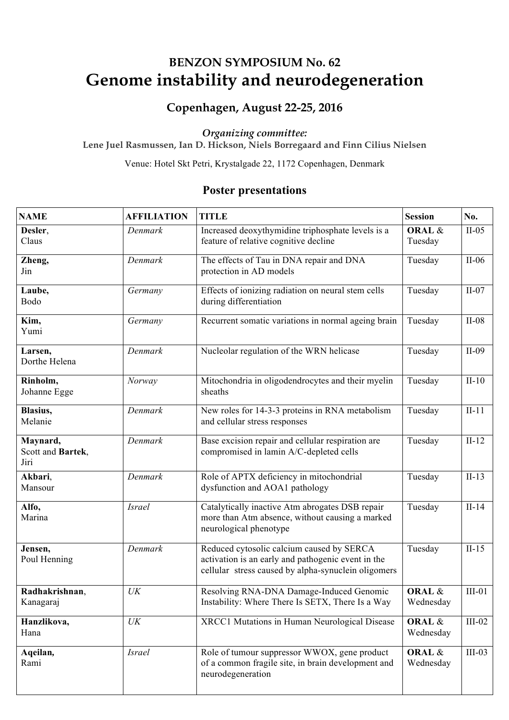## **Copenhagen, August 22-25, 2016**

#### *Organizing committee:*

**Lene Juel Rasmussen, Ian D. Hickson, Niels Borregaard and Finn Cilius Nielsen** 

Venue: Hotel Skt Petri, Krystalgade 22, 1172 Copenhagen, Denmark

| <b>NAME</b>                           | <b>AFFILIATION</b>                | <b>TITLE</b>                                                                                                                                           | <b>Session</b>               | No.      |
|---------------------------------------|-----------------------------------|--------------------------------------------------------------------------------------------------------------------------------------------------------|------------------------------|----------|
| Desler,<br>Claus                      | Denmark                           | Increased deoxythymidine triphosphate levels is a<br>feature of relative cognitive decline                                                             | <b>ORAL &amp;</b><br>Tuesday | $II-05$  |
| Zheng,<br>Jin                         | Denmark                           | The effects of Tau in DNA repair and DNA<br>protection in AD models                                                                                    | Tuesday                      | $II-06$  |
| Laube,<br>Bodo                        | Germany                           | Effects of ionizing radiation on neural stem cells<br>during differentiation                                                                           | Tuesday                      | $II-07$  |
| Kim,<br>Yumi                          | Germany                           | Recurrent somatic variations in normal ageing brain                                                                                                    | Tuesday                      | $II-08$  |
| Larsen,<br>Dorthe Helena              | Denmark                           | Nucleolar regulation of the WRN helicase                                                                                                               | Tuesday                      | $II-09$  |
| Rinholm,<br>Johanne Egge              | Norway                            | Mitochondria in oligodendrocytes and their myelin<br>sheaths                                                                                           | Tuesday                      | $II-10$  |
| Blasius,<br>Melanie                   | Denmark                           | New roles for 14-3-3 proteins in RNA metabolism<br>and cellular stress responses                                                                       | Tuesday                      | $II-11$  |
| Maynard,<br>Scott and Bartek,<br>Jiri | Denmark                           | Base excision repair and cellular respiration are<br>compromised in lamin A/C-depleted cells                                                           | Tuesday                      | $II-12$  |
| Akbari,<br>Mansour                    | Denmark                           | Role of APTX deficiency in mitochondrial<br>dysfunction and AOA1 pathology                                                                             | Tuesday                      | $II-13$  |
| Alfo,<br>Marina                       | <b>Israel</b>                     | Catalytically inactive Atm abrogates DSB repair<br>more than Atm absence, without causing a marked<br>neurological phenotype                           | Tuesday                      | $II-14$  |
| Jensen,<br>Poul Henning               | Denmark                           | Reduced cytosolic calcium caused by SERCA<br>activation is an early and pathogenic event in the<br>cellular stress caused by alpha-synuclein oligomers | Tuesday                      | $II-15$  |
| Radhakrishnan,<br>Kanagaraj           | $\ensuremath{\textit{UK}}\xspace$ | Resolving RNA-DNA Damage-Induced Genomic<br>Instability: Where There Is SETX, There Is a Way                                                           | ORAL &<br>Wednesday          | $III-01$ |
| Hanzlikova,<br>Hana                   | UK                                | XRCC1 Mutations in Human Neurological Disease                                                                                                          | ORAL &<br>Wednesday          | $III-02$ |
| Aqeilan,<br>Rami                      | <b>Israel</b>                     | Role of tumour suppressor WWOX, gene product<br>of a common fragile site, in brain development and<br>neurodegeneration                                | ORAL &<br>Wednesday          | $III-03$ |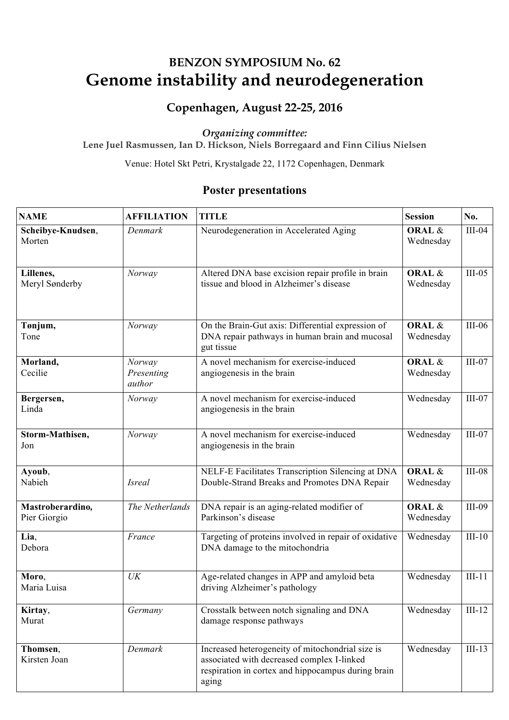## **Copenhagen, August 22-25, 2016**

#### *Organizing committee:*

**Lene Juel Rasmussen, Ian D. Hickson, Niels Borregaard and Finn Cilius Nielsen** 

Venue: Hotel Skt Petri, Krystalgade 22, 1172 Copenhagen, Denmark

| <b>NAME</b>                      | <b>AFFILIATION</b>             | <b>TITLE</b>                                                                                                                                                  | <b>Session</b>                 | No.      |
|----------------------------------|--------------------------------|---------------------------------------------------------------------------------------------------------------------------------------------------------------|--------------------------------|----------|
| Scheibye-Knudsen,<br>Morten      | Denmark                        | Neurodegeneration in Accelerated Aging                                                                                                                        | <b>ORAL &amp;</b><br>Wednesday | $III-04$ |
| Lillenes,<br>Meryl Sønderby      | Norway                         | Altered DNA base excision repair profile in brain<br>tissue and blood in Alzheimer's disease                                                                  | ORAL &<br>Wednesday            | $III-05$ |
| Tønjum,<br>Tone                  | Norway                         | On the Brain-Gut axis: Differential expression of<br>DNA repair pathways in human brain and mucosal<br>gut tissue                                             | ORAL &<br>Wednesday            | $III-06$ |
| Morland,<br>Cecilie              | Norway<br>Presenting<br>author | A novel mechanism for exercise-induced<br>angiogenesis in the brain                                                                                           | ORAL &<br>Wednesday            | $III-07$ |
| Bergersen,<br>Linda              | Norway                         | A novel mechanism for exercise-induced<br>angiogenesis in the brain                                                                                           | Wednesday                      | $III-07$ |
| Storm-Mathisen,<br>Jon           | Norway                         | A novel mechanism for exercise-induced<br>angiogenesis in the brain                                                                                           | Wednesday                      | $III-07$ |
| Ayoub,<br>Nabieh                 | <i>Isreal</i>                  | NELF-E Facilitates Transcription Silencing at DNA<br>Double-Strand Breaks and Promotes DNA Repair                                                             | ORAL &<br>Wednesday            | $III-08$ |
| Mastroberardino,<br>Pier Giorgio | The Netherlands                | DNA repair is an aging-related modifier of<br>Parkinson's disease                                                                                             | ORAL &<br>Wednesday            | $III-09$ |
| Lia,<br>Debora                   | France                         | Targeting of proteins involved in repair of oxidative<br>DNA damage to the mitochondria                                                                       | Wednesday                      | $III-10$ |
| Moro,<br>Maria Luisa             | UK                             | Age-related changes in APP and amyloid beta<br>driving Alzheimer's pathology                                                                                  | Wednesday                      | $III-11$ |
| Kirtay,<br>Murat                 | Germany                        | Crosstalk between notch signaling and DNA<br>damage response pathways                                                                                         | Wednesday                      | $III-12$ |
| Thomsen,<br>Kirsten Joan         | Denmark                        | Increased heterogeneity of mitochondrial size is<br>associated with decreased complex I-linked<br>respiration in cortex and hippocampus during brain<br>aging | Wednesday                      | $III-13$ |